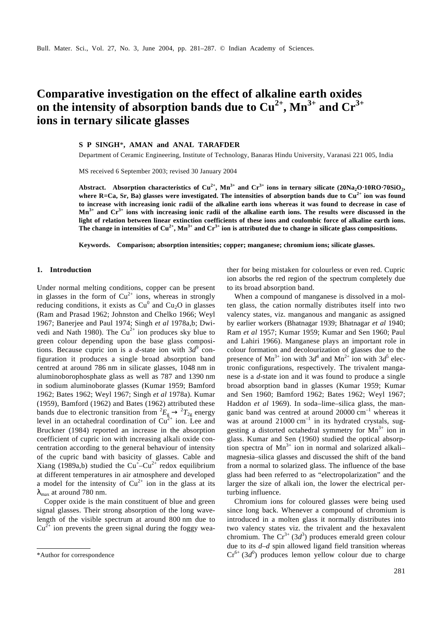# **Comparative investigation on the effect of alkaline earth oxides**  on the intensity of absorption bands due to  $Cu^{2+}$ ,  $Mn^{3+}$  and  $Cr^{3+}$ **ions in ternary silicate glasses**

## **S P SINGH**\***, AMAN and ANAL TARAFDER**

Department of Ceramic Engineering, Institute of Technology, Banaras Hindu University, Varanasi 221 005, India

MS received 6 September 2003; revised 30 January 2004

**Abstract. Absorption characteristics of Cu2+, Mn3+ and Cr3+ ions in ternary silicate (20Na2O**⋅**10RO**⋅**70SiO<sup>2</sup> , where R=Ca, Sr, Ba) glasses were investigated. The intensities of absorption bands due to Cu2+ ion was found to increase with increasing ionic radii of the alkaline earth ions whereas it was found to decrease in case of Mn3+ and Cr3+ ions with increasing ionic radii of the alkaline earth ions. The results were discussed in the light of relation between linear extinction coefficients of these ions and coulombic force of alkaline earth ions.** The change in intensities of  $Cu^{2+}$ , Mn<sup>3+</sup> and  $Cr^{3+}$  ion is attributed due to change in silicate glass compositions.

**Keywords. Comparison; absorption intensities; copper; manganese; chromium ions; silicate glasses.**

## **1. Introduction**

Under normal melting conditions, copper can be present in glasses in the form of  $Cu^{2+}$  ions, whereas in strongly reducing conditions, it exists as  $Cu^{0}$  and  $Cu_{2}O$  in glasses (Ram and Prasad 1962; Johnston and Chelko 1966; Weyl 1967; Banerjee and Paul 1974; Singh *et al* 1978a,b; Dwivedi and Nath 1980). The  $Cu^{2+}$  ion produces sky blue to green colour depending upon the base glass compositions. Because cupric ion is a *d*-state ion with  $3d^9$  configuration it produces a single broad absorption band centred at around 786 nm in silicate glasses, 1048 nm in aluminoborophosphate glass as well as 787 and 1390 nm in sodium aluminoborate glasses (Kumar 1959; Bamford 1962; Bates 1962; Weyl 1967; Singh *et al* 1978a). Kumar (1959), Bamford (1962) and Bates (1962) attributed these bands due to electronic transition from  ${}^2E_g \rightarrow {}^2T_{2g}$  energy level in an octahedral coordination of  $Cu^{2+}$  ion. Lee and Bruckner (1984) reported an increase in the absorption coefficient of cupric ion with increasing alkali oxide concentration according to the general behaviour of intensity of the cupric band with basicity of glasses. Cable and Xiang (1989a,b) studied the  $Cu<sup>+</sup>-Cu<sup>2+</sup>$  redox equilibrium at different temperatures in air atmosphere and developed a model for the intensity of  $Cu^{2+}$  ion in the glass at its  $I_{\text{max}}$  at around 780 nm.

Copper oxide is the main constituent of blue and green signal glasses. Their strong absorption of the long wavelength of the visible spectrum at around 800 nm due to  $Cu^{2+}$  ion prevents the green signal during the foggy weather for being mistaken for colourless or even red. Cupric ion absorbs the red region of the spectrum completely due to its broad absorption band.

When a compound of manganese is dissolved in a molten glass, the cation normally distributes itself into two valency states, viz. manganous and manganic as assigned by earlier workers (Bhatnagar 1939; Bhatnagar *et al* 1940; Ram *et al* 1957; Kumar 1959; Kumar and Sen 1960; Paul and Lahiri 1966). Manganese plays an important role in colour formation and decolourization of glasses due to the presence of Mn<sup>3+</sup> ion with  $3d^4$  and Mn<sup>2+</sup> ion with  $3d^5$  electronic configurations, respectively. The trivalent manganese is a *d*-state ion and it was found to produce a single broad absorption band in glasses (Kumar 1959; Kumar and Sen 1960; Bamford 1962; Bates 1962; Weyl 1967; Haddon *et al* 1969). In soda–lime–silica glass, the manganic band was centred at around  $20000 \text{ cm}^{-1}$  whereas it was at around  $21000 \text{ cm}^{-1}$  in its hydrated crystals, suggesting a distorted octahedral symmetry for  $Mn^{3+}$  ion in glass. Kumar and Sen (1960) studied the optical absorption spectra of  $Mn^{3+}$  ion in normal and solarized alkalimagnesia–silica glasses and discussed the shift of the band from a normal to solarized glass. The influence of the base glass had been referred to as "electropolarization" and the larger the size of alkali ion, the lower the electrical perturbing influence.

Chromium ions for coloured glasses were being used since long back. Whenever a compound of chromium is introduced in a molten glass it normally distributes into two valency states viz. the trivalent and the hexavalent chromium. The  $Cr^{3+}$  (3*d*<sup>3</sup>) produces emerald green colour due to its *d*–*d* spin allowed ligand field transition whereas \*Author for correspondence  $Cr^{6+}(3d^0)$  produces lemon yellow colour due to charge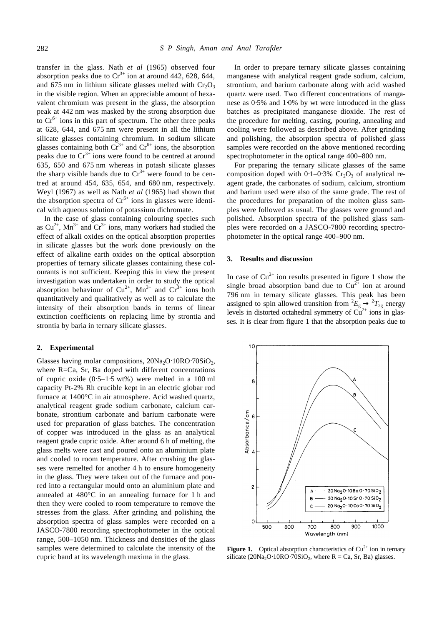transfer in the glass. Nath *et al* (1965) observed four absorption peaks due to  $Cr^{3+}$  ion at around 442, 628, 644, and 675 nm in lithium silicate glasses melted with  $Cr_2O_3$ in the visible region. When an appreciable amount of hexavalent chromium was present in the glass, the absorption peak at 442 nm was masked by the strong absorption due to  $Cr^{6+}$  ions in this part of spectrum. The other three peaks at 628, 644, and 675 nm were present in all the lithium silicate glasses containing chromium. In sodium silicate glasses containing both  $Cr^{3+}$  and  $Cr^{6+}$  ions, the absorption peaks due to  $Cr^{3+}$  ions were found to be centred at around 635, 650 and 675 nm whereas in potash silicate glasses the sharp visible bands due to  $Cr^{3+}$  were found to be centred at around 454, 635, 654, and 680 nm, respectively. Weyl (1967) as well as Nath *et al* (1965) had shown that the absorption spectra of  $Cr^{6+}$  ions in glasses were identical with aqueous solution of potassium dichromate.

In the case of glass containing colouring species such as  $Cu^{2+}$ , Mn<sup>3+</sup> and  $Cr^{3+}$  ions, many workers had studied the effect of alkali oxides on the optical absorption properties in silicate glasses but the work done previously on the effect of alkaline earth oxides on the optical absorption properties of ternary silicate glasses containing these colourants is not sufficient. Keeping this in view the present investigation was undertaken in order to study the optical absorption behaviour of  $Cu^{2+}$ ,  $Mn^{3+}$  and  $Cr^{3+}$  ions both quantitatively and qualitatively as well as to calculate the intensity of their absorption bands in terms of linear extinction coefficients on replacing lime by strontia and strontia by baria in ternary silicate glasses.

### **2. Experimental**

Glasses having molar compositions,  $20Na_2O·10RO·70SiO<sub>2</sub>$ , where  $R=Ca$ , Sr, Ba doped with different concentrations of cupric oxide (0⋅5–1⋅5 wt%) were melted in a 100 ml capacity Pt-2% Rh crucible kept in an electric globar rod furnace at 1400°C in air atmosphere. Acid washed quartz, analytical reagent grade sodium carbonate, calcium carbonate, strontium carbonate and barium carbonate were used for preparation of glass batches. The concentration of copper was introduced in the glass as an analytical reagent grade cupric oxide. After around 6 h of melting, the glass melts were cast and poured onto an aluminium plate and cooled to room temperature. After crushing the glasses were remelted for another 4 h to ensure homogeneity in the glass. They were taken out of the furnace and poured into a rectangular mould onto an aluminium plate and annealed at 480°C in an annealing furnace for 1 h and then they were cooled to room temperature to remove the stresses from the glass. After grinding and polishing the absorption spectra of glass samples were recorded on a JASCO-7800 recording spectrophotometer in the optical range, 500–1050 nm. Thickness and densities of the glass samples were determined to calculate the intensity of the cupric band at its wavelength maxima in the glass.

In order to prepare ternary silicate glasses containing manganese with analytical reagent grade sodium, calcium, strontium, and barium carbonate along with acid washed quartz were used. Two different concentrations of manganese as 0⋅5% and 1⋅0% by wt were introduced in the glass batches as precipitated manganese dioxide. The rest of the procedure for melting, casting, pouring, annealing and cooling were followed as described above. After grinding and polishing, the absorption spectra of polished glass samples were recorded on the above mentioned recording spectrophotometer in the optical range 400–800 nm.

For preparing the ternary silicate glasses of the same composition doped with  $0.1-0.3\%$  Cr<sub>2</sub>O<sub>3</sub> of analytical reagent grade, the carbonates of sodium, calcium, strontium and barium used were also of the same grade. The rest of the procedures for preparation of the molten glass samples were followed as usual. The glasses were ground and polished. Absorption spectra of the polished glass samples were recorded on a JASCO-7800 recording spectrophotometer in the optical range 400–900 nm.

## **3. Results and discussion**

In case of  $Cu^{2+}$  ion results presented in figure 1 show the single broad absorption band due to  $Cu^{2+}$  ion at around 796 nm in ternary silicate glasses. This peak has been assigned to spin allowed transition from  ${}^2E_g \rightarrow {}^2T_{2g}$  energy levels in distorted octahedral symmetry of  $Cu^{2+}$  ions in glasses. It is clear from figure 1 that the absorption peaks due to



**Figure 1.** Optical absorption characteristics of  $Cu<sup>2+</sup>$  ion in ternary silicate  $(20Na<sub>2</sub>O·10RO·70SiO<sub>2</sub>$ , where  $R = Ca$ , Sr, Ba) glasses.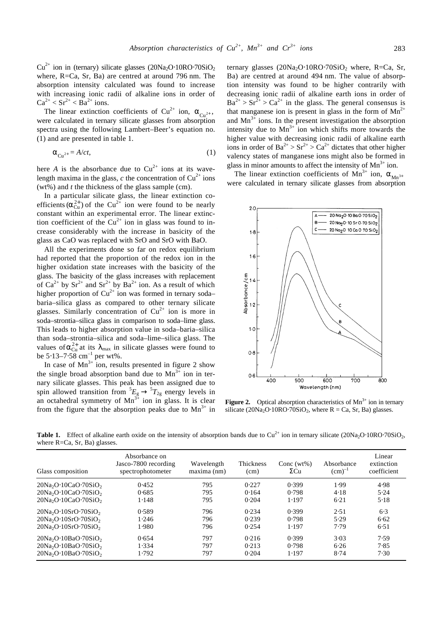$Cu^{2+}$  ion in (ternary) silicate glasses (20Na<sub>2</sub>O⋅10RO⋅70SiO<sub>2</sub> where, R=Ca, Sr, Ba) are centred at around 796 nm. The absorption intensity calculated was found to increase with increasing ionic radii of alkaline ions in order of  $Ca^{2+} < Sr^{2+} < Ba^{2+}$  ions.

The linear extinction coefficients of Cu<sup>2+</sup> ion,  $\mathbf{a}_{\text{Cu}^{2+}}$ , were calculated in ternary silicate glasses from absorption spectra using the following Lambert–Beer's equation no. (1) and are presented in table 1.

$$
\mathbf{a}_{\mathrm{Cu}^{2+}} = A/ct,\tag{1}
$$

here *A* is the absorbance due to  $Cu^{2+}$  ions at its wavelength maxima in the glass,  $c$  the concentration of  $Cu^{2+}$  ions (wt%) and *t* the thickness of the glass sample (cm).

In a particular silicate glass, the linear extinction coefficients  $(a_{\text{Cu}}^{2+})$  of the Cu<sup>2+</sup> ion were found to be nearly constant within an experimental error. The linear extinction coefficient of the  $Cu^{2+}$  ion in glass was found to increase considerably with the increase in basicity of the glass as CaO was replaced with SrO and SrO with BaO.

All the experiments done so far on redox equilibrium had reported that the proportion of the redox ion in the higher oxidation state increases with the basicity of the glass. The basicity of the glass increases with replacement of  $Ca^{2+}$  by  $Sr^{2+}$  and  $Sr^{2+}$  by  $Ba^{2+}$  ion. As a result of which higher proportion of  $Cu^{2+}$  ion was formed in ternary soda– baria–silica glass as compared to other ternary silicate glasses. Similarly concentration of  $Cu^{2+}$  ion is more in soda–strontia–silica glass in comparison to soda–lime glass. This leads to higher absorption value in soda–baria–silica than soda–strontia–silica and soda–lime–silica glass. The values of  $\mathbf{a}_{\text{Cu}}^{2+}$  at its  $\mathbf{I}_{\text{max}}$  in silicate glasses were found to be  $5.13-7.58$  cm<sup>-1</sup> per wt%.

In case of  $Mn^{3+}$  ion, results presented in figure 2 show the single broad absorption band due to  $Mn^{3+}$  ion in ternary silicate glasses. This peak has been assigned due to spin allowed transition from  ${}^5E_g \rightarrow {}^5T_{2g}$  energy levels in an octahedral symmetry of  $Mn^{3+}$  ion in glass. It is clear from the figure that the absorption peaks due to  $Mn^{3+}$  in ternary glasses  $(20Na<sub>2</sub>O·10RO·70SiO<sub>2</sub>$  where, R=Ca, Sr, Ba) are centred at around 494 nm. The value of absorption intensity was found to be higher contrarily with decreasing ionic radii of alkaline earth ions in order of  $Ba^{2+} > Sr^{2+} > Ca^{2+}$  in the glass. The general consensus is that manganese ion is present in glass in the form of  $Mn^{2+}$ and  $Mn^{3+}$  ions. In the present investigation the absorption intensity due to  $Mn^{3+}$  ion which shifts more towards the higher value with decreasing ionic radii of alkaline earth ions in order of  $Ba^{2+} > Sr^{2+} > Ca^{2+}$  dictates that other higher valency states of manganese ions might also be formed in glass in minor amounts to affect the intensity of  $Mn^{3+}$  ion.

The linear extinction coefficients of Mn<sup>3+</sup> ion,  $a_{Mn^{3+}}$ were calculated in ternary silicate glasses from absorption



**Figure 2.** Optical absorption characteristics of  $Mn^{3+}$  ion in ternary silicate  $(20Na<sub>2</sub>O·10RO·70SiO<sub>2</sub>$ , where  $R = Ca$ , Sr, Ba) glasses.

**Table 1.** Effect of alkaline earth oxide on the intensity of absorption bands due to  $Cu^{2+}$  ion in ternary silicate  $(20Na_2O·10RO·70SiO_2,$ where R=Ca, Sr, Ba) glasses.

| Glass composition                  | Absorbance on<br>Jasco-7800 recording<br>spectrophotometer | Wavelength<br>maxima (nm) | <b>Thickness</b><br>(cm) | Conc $(wt\%)$<br>$\Sigma$ Cu | Absorbance<br>$\text{(cm)}^{-1}$ | Linear<br>extinction<br>coefficient |
|------------------------------------|------------------------------------------------------------|---------------------------|--------------------------|------------------------------|----------------------------------|-------------------------------------|
| $20Na2O10CaO270SiO2$               | 0.452                                                      | 795                       | 0.227                    | 0.399                        | 1.99                             | 4.98                                |
| $20Na2O10CaO270SiO2$               | 0.685                                                      | 795                       | 0.164                    | 0.798                        | 4.18                             | 5.24                                |
| $20Na2O110CaO270SiO2$              | 1.148                                                      | 795                       | 0.204                    | 1.197                        | 6.21                             | 5.18                                |
| $20Na2O10SrO20SiO2$                | 0.589                                                      | 796                       | 0.234                    | 0.399                        | 2.51                             | 6.3                                 |
| $20Na2O10SrO20SiO2$                | 1.246                                                      | 796                       | 0.239                    | 0.798                        | 5.29                             | 6.62                                |
| $20Na2O10SrO$ . 70SiO <sub>2</sub> | 1.980                                                      | 796                       | 0.254                    | 1.197                        | 7.79                             | 6.51                                |
| $20Na2O10BaO270SiO2$               | 0.654                                                      | 797                       | 0.216                    | 0.399                        | 3.03                             | 7.59                                |
| $20Na2O10BaO270SiO2$               | 1.334                                                      | 797                       | 0.213                    | 0.798                        | 6.26                             | 7.85                                |
| $20Na2O·10BaO·70SiO2$              | 1.792                                                      | 797                       | 0.204                    | 1.197                        | 8.74                             | 7.30                                |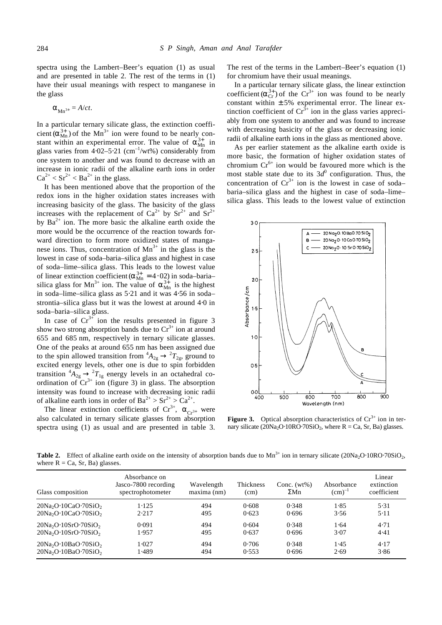spectra using the Lambert–Beer's equation (1) as usual and are presented in table 2. The rest of the terms in (1) have their usual meanings with respect to manganese in the glass

$$
\boldsymbol{a}_{\mathbf{M}n^{3+}} = A/ct.
$$

In a particular ternary silicate glass, the extinction coefficient  $(a_{\text{Mn}}^{3+})$  of the Mn<sup>3+</sup> ion were found to be nearly constant within an experimental error. The value of  $\mathbf{a}_{Mn}^{3+}$  in glass varies from 4⋅02-5⋅21 (cm<sup>-1</sup>/wt%) considerably from one system to another and was found to decrease with an increase in ionic radii of the alkaline earth ions in order  $Ca^{2+} < Sr^{2+} < Ba^{2+}$  in the glass.

It has been mentioned above that the proportion of the redox ions in the higher oxidation states increases with increasing basicity of the glass. The basicity of the glass increases with the replacement of  $Ca^{2+}$  by  $Sr^{2+}$  and  $Sr^{2+}$ by  $Ba^{2+}$  ion. The more basic the alkaline earth oxide the more would be the occurrence of the reaction towards forward direction to form more oxidized states of manganese ions. Thus, concentration of  $Mn^{3+}$  in the glass is the lowest in case of soda–baria–silica glass and highest in case of soda–lime–silica glass. This leads to the lowest value of linear extinction coefficient  $(a_{\text{Mn}}^{3+} = 4.02)$  in soda–baria– silica glass for Mn<sup>3+</sup> ion. The value of  $a_{Mn}^{3+}$  is the highest in soda–lime–silica glass as 5⋅21 and it was 4⋅56 in soda– strontia–silica glass but it was the lowest at around 4⋅0 in soda–baria–silica glass.

In case of  $Cr^{3+}$  ion the results presented in figure 3 show two strong absorption bands due to  $Cr^{3+}$  ion at around 655 and 685 nm, respectively in ternary silicate glasses. One of the peaks at around 655 nm has been assigned due to the spin allowed transition from  ${}^4A_{2g} \rightarrow {}^2T_{2g}$ , ground to excited energy levels, other one is due to spin forbidden transition  ${}^4A_{2g} \rightarrow {}^2T_{1g}$  energy levels in an octahedral coordination of  $Cr^{3+}$  ion (figure 3) in glass. The absorption intensity was found to increase with decreasing ionic radii of alkaline earth ions in order of  $Ba^{2+} > Sr^{2+} > Ca^{2+}$ .

The linear extinction coefficients of  $Cr^{3+}$ ,  $a_{Cr^{3+}}$  were also calculated in ternary silicate glasses from absorption spectra using (1) as usual and are presented in table 3.

The rest of the terms in the Lambert–Beer's equation (1) for chromium have their usual meanings.

In a particular ternary silicate glass, the linear extinction coefficient  $(a_{\text{Cr}}^{3+})$  of the  $\text{Cr}^{3+}$  ion was found to be nearly constant within  $\pm 5\%$  experimental error. The linear extinction coefficient of  $Cr<sup>3+</sup>$  ion in the glass varies appreciably from one system to another and was found to increase with decreasing basicity of the glass or decreasing ionic radii of alkaline earth ions in the glass as mentioned above.

As per earlier statement as the alkaline earth oxide is more basic, the formation of higher oxidation states of chromium  $Cr^{6+}$  ion would be favoured more which is the most stable state due to its  $3d^0$  configuration. Thus, the concentration of  $Cr^{3+}$  ion is the lowest in case of soda– baria–silica glass and the highest in case of soda–lime– silica glass. This leads to the lowest value of extinction



**Figure 3.** Optical absorption characteristics of  $Cr<sup>3+</sup>$  ion in ternary silicate  $(20Na<sub>2</sub>O·10RO·70SiO<sub>2</sub>$ , where  $R = Ca$ , Sr, Ba) glasses.

**Table 2.** Effect of alkaline earth oxide on the intensity of absorption bands due to  $Mn^{3+}$  ion in ternary silicate (20Na<sub>2</sub>O⋅10RO⋅70SiO<sub>2</sub>, where  $R = Ca$ ,  $Sr$ ,  $Ba$ ) glasses.

| Glass composition                  | Absorbance on<br>Jasco-7800 recording<br>spectrophotometer | Wavelength<br>maxima (nm) | Thickness<br>(cm) | Conc. $(wt\%)$<br>$\Sigma Mn$ | Absorbance<br>$(cm)^{-1}$ | Linear<br>extinction<br>coefficient |
|------------------------------------|------------------------------------------------------------|---------------------------|-------------------|-------------------------------|---------------------------|-------------------------------------|
| $20Na2O·10CaO·70SiO2$              | 1.125                                                      | 494                       | 0.608             | 0.348                         | 1.85                      | 5.31                                |
| $20Na2O·10CaO·70SiO2$              | 2.217                                                      | 495                       | 0.623             | 0.696                         | 3.56                      | 5.11                                |
| $20Na2O10SrO·70SiO2$               | 0.091                                                      | 494                       | 0.604             | 0.348                         | 1.64                      | 4.71                                |
| $20Na2O10SrO$ . 70SiO <sub>2</sub> | 1.957                                                      | 495                       | 0.637             | 0.696                         | 3.07                      | 4.41                                |
| $20Na2O10BaO270SiO2$               | 1.027                                                      | 494                       | 0.706             | 0.348                         | 1.45                      | 4.17                                |
| $20Na2O10BaO270SiO2$               | 1.489                                                      | 494                       | 0.553             | 0.696                         | 2.69                      | 3.86                                |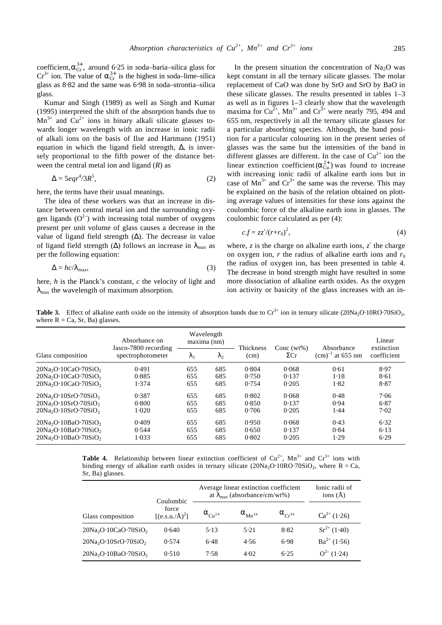coefficient,  $a_{\text{Cr}}^{3+}$ , around 6.25 in soda–baria–silica glass for  $Cr^{3+}$  ion. The value of  $\mathbf{a}_{Cr}^{3+}$  is the highest in soda–lime–silica glass as 8⋅82 and the same was 6⋅98 in soda–strontia–silica glass.

Kumar and Singh (1989) as well as Singh and Kumar (1995) interpreted the shift of the absorption bands due to  $Mn^{3+}$  and  $Cu^{2+}$  ions in binary alkali silicate glasses towards longer wavelength with an increase in ionic radii of alkali ions on the basis of Ilse and Hartmann (1951) equation in which the ligand field strength,  $\Delta$ , is inversely proportional to the fifth power of the distance between the central metal ion and ligand (*R*) as

$$
\Delta = 5eqr^4/3R^5,\tag{2}
$$

here, the terms have their usual meanings.

The idea of these workers was that an increase in distance between central metal ion and the surrounding oxygen ligands  $(O<sup>2</sup>)$  with increasing total number of oxygens present per unit volume of glass causes a decrease in the value of ligand field strength  $(\Delta)$ . The decrease in value of ligand field strength ( $\Delta$ ) follows an increase in  $I_{\text{max}}$  as per the following equation:

$$
\Delta = hc/I_{\text{max}},\tag{3}
$$

here, *h* is the Planck's constant, *c* the velocity of light and *l*<sub>max</sub> the wavelength of maximum absorption.

In the present situation the concentration of  $Na<sub>2</sub>O$  was kept constant in all the ternary silicate glasses. The molar replacement of CaO was done by SrO and SrO by BaO in these silicate glasses. The results presented in tables 1–3 as well as in figures 1–3 clearly show that the wavelength maxima for  $Cu^{2+}$ , Mn<sup>3+</sup> and  $Cr^{3+}$  were nearly 795, 494 and 655 nm, respectively in all the ternary silicate glasses for a particular absorbing species. Although, the band position for a particular colouring ion in the present series of glasses was the same but the intensities of the band in different glasses are different. In the case of  $Cu^{2+}$  ion the linear extinction coefficient  $(a_{\text{Cu}}^{2+})$  was found to increase with increasing ionic radii of alkaline earth ions but in case of  $Mn^{3+}$  and  $Cr^{3+}$  the same was the reverse. This may be explained on the basis of the relation obtained on plotting average values of intensities for these ions against the coulombic force of the alkaline earth ions in glasses. The coulombic force calculated as per (4):

$$
c.f = zz'/(r+r_0)^2,\tag{4}
$$

where, *z* is the charge on alkaline earth ions, *z*′ the charge on oxygen ion,  $r$  the radius of alkaline earth ions and  $r_0$ the radius of oxygen ion, has been presented in table 4. The decrease in bond strength might have resulted in some more dissociation of alkaline earth oxides. As the oxygen ion activity or basicity of the glass increases with an in-

**Table 3.** Effect of alkaline earth oxide on the intensity of absorption bands due to  $Cr^{3+}$  ion in ternary silicate (20Na<sub>2</sub>O⋅10RO⋅70SiO<sub>2</sub>, where  $R = Ca$ , Sr, Ba) glasses.

| Glass composition     | Absorbance on<br>Jasco-7800 recording<br>spectrophotometer | Wavelength<br>maxima (nm) |                |                   |                              |                                            | Linear                    |
|-----------------------|------------------------------------------------------------|---------------------------|----------------|-------------------|------------------------------|--------------------------------------------|---------------------------|
|                       |                                                            | $\bf{I}$                  | I <sub>2</sub> | Thickness<br>(cm) | Conc $(wt\%)$<br>$\Sigma$ Cr | Absorbance<br>$\text{(cm)}^{-1}$ at 655 nm | extinction<br>coefficient |
| $20Na2O10CaO270SiO2$  | 0.491                                                      | 655                       | 685            | 0.804             | 0.068                        | 0.61                                       | 8.97                      |
| $20Na2O110CaO270SiO2$ | 0.885                                                      | 655                       | 685            | 0.750             | 0.137                        | 1.18                                       | 8.61                      |
| $20Na2O10CaO270SiO2$  | 1.374                                                      | 655                       | 685            | 0.754             | 0.205                        | 1.82                                       | 8.87                      |
| $20Na2O10SrO20SiO2$   | 0.387                                                      | 655                       | 685            | 0.802             | 0.068                        | 0.48                                       | 7.06                      |
| $20Na2O10SrO·70SiO2$  | 0.800                                                      | 655                       | 685            | 0.850             | 0.137                        | 0.94                                       | 6.87                      |
| $20Na2O·10SrO·70SiO2$ | 1.020                                                      | 655                       | 685            | 0.706             | 0.205                        | 1.44                                       | 7.02                      |
| $20Na2O10BaO270SiO2$  | 0.409                                                      | 655                       | 685            | 0.950             | 0.068                        | 0.43                                       | 6.32                      |
| $20Na2O10BaO270SiO2$  | 0.544                                                      | 655                       | 685            | 0.650             | 0.137                        | 0.84                                       | 6.13                      |
| $20Na2O10BaO270SiO2$  | 1.033                                                      | 655                       | 685            | 0.802             | 0.205                        | 1.29                                       | 6.29                      |

**Table 4.** Relationship between linear extinction coefficient of  $Cu^{2+}$ ,  $Mn^{3+}$  and  $Cr^{3+}$  ions with binding energy of alkaline earth oxides in ternary silicate  $(20Na_2O·10RO·70SiO_2$ , where R = Ca, Sr, Ba) glasses.

|                       | Coulombic                   | Average linear extinction coefficient<br>at $I_{\text{max}}$ (absorbance/cm/wt%) | Ionic radii of<br>ions $(\AA)$ |                     |                  |
|-----------------------|-----------------------------|----------------------------------------------------------------------------------|--------------------------------|---------------------|------------------|
| Glass composition     | force<br>$[(e.s.u./Å)^{2}]$ | $a_{Cu^{2+}}$                                                                    | $a_{Mn^{3+}}$                  | $a_{\alpha, \beta}$ | $Ca^{2+}(1.26)$  |
| $20Na2O10CaO270SiO2$  | 0.640                       | 5.13                                                                             | 5.21                           | 8.82                | $Sr^{2+}(1.40)$  |
| $20Na2O·10SrO·70SiO2$ | 0.574                       | 6.48                                                                             | 4.56                           | 6.98                | $Ba^{2+} (1.56)$ |
| $20Na2O·10BaO·70SiO2$ | 0.510                       | 7.58                                                                             | 4.02                           | 6.25                | $Q^{2-}(1.24)$   |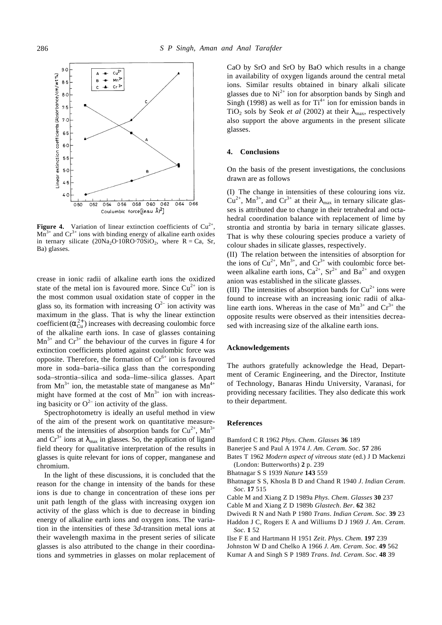

**Figure 4.** Variation of linear extinction coefficients of  $Cu^{2+}$ ,  $Mn^{3+}$  and  $Cr^{3+}$  ions with binding energy of alkaline earth oxides in ternary silicate  $(20Na<sub>2</sub>O·10RO·70SiO<sub>2</sub>$ , where  $R = Ca$ , Sr, Ba) glasses.

crease in ionic radii of alkaline earth ions the oxidized state of the metal ion is favoured more. Since  $Cu^{2+}$  ion is the most common usual oxidation state of copper in the glass so, its formation with increasing  $O^{2-}$  ion activity was maximum in the glass. That is why the linear extinction coefficient  $(a_{\text{Cu}}^{2+})$  increases with decreasing coulombic force of the alkaline earth ions. In case of glasses containing  $Mn^{3+}$  and  $Cr^{3+}$  the behaviour of the curves in figure 4 for extinction coefficients plotted against coulombic force was opposite. Therefore, the formation of  $Cr<sup>6+</sup>$  ion is favoured more in soda–baria–silica glass than the corresponding soda–strontia–silica and soda–lime–silica glasses. Apart from  $Mn^{3+}$  ion, the metastable state of manganese as  $Mn^{4+}$ might have formed at the cost of  $Mn^{3+}$  ion with increasing basicity or  $O^{2-}$  ion activity of the glass.

Spectrophotometry is ideally an useful method in view of the aim of the present work on quantitative measurements of the intensities of absorption bands for  $Cu^{2+}$ , Mn<sup>3+</sup> and  $Cr^{3+}$  ions at  $I_{\text{max}}$  in glasses. So, the application of ligand field theory for qualitative interpretation of the results in glasses is quite relevant for ions of copper, manganese and chromium.

In the light of these discussions, it is concluded that the reason for the change in intensity of the bands for these ions is due to change in concentration of these ions per unit path length of the glass with increasing oxygen ion activity of the glass which is due to decrease in binding energy of alkaline earth ions and oxygen ions. The variation in the intensities of these 3*d*-transition metal ions at their wavelength maxima in the present series of silicate glasses is also attributed to the change in their coordinations and symmetries in glasses on molar replacement of CaO by SrO and SrO by BaO which results in a change in availability of oxygen ligands around the central metal ions. Similar results obtained in binary alkali silicate glasses due to  $Ni<sup>2+</sup>$  ion for absorption bands by Singh and Singh (1998) as well as for  $Ti<sup>4+</sup>$  ion for emission bands in TiO<sub>2</sub> sols by Seok *et al* (2002) at their  $I_{\text{max}}$ , respectively also support the above arguments in the present silicate glasses.

## **4. Conclusions**

On the basis of the present investigations, the conclusions drawn are as follows

(I) The change in intensities of these colouring ions viz.  $Cu^{2+}$ , Mn<sup>3+</sup>, and Cr<sup>3+</sup> at their  $I_{\text{max}}$  in ternary silicate glasses is attributed due to change in their tetrahedral and octahedral coordination balance with replacement of lime by strontia and strontia by baria in ternary silicate glasses. That is why these colouring species produce a variety of colour shades in silicate glasses, respectively.

(II) The relation between the intensities of absorption for the ions of  $Cu^{2+}$ , Mn<sup>3+</sup>, and  $Cr^{3+}$  with coulombic force between alkaline earth ions,  $Ca^{2+}$ ,  $Sr^{2+}$  and  $Ba^{2+}$  and oxygen anion was established in the silicate glasses.

(III) The intensities of absorption bands for  $Cu^{2+}$  ions were found to increase with an increasing ionic radii of alkaline earth ions. Whereas in the case of  $Mn^{3+}$  and  $Cr^{3+}$  the opposite results were observed as their intensities decreased with increasing size of the alkaline earth ions.

## **Acknowledgements**

The authors gratefully acknowledge the Head, Department of Ceramic Engineering, and the Director, Institute of Technology, Banaras Hindu University, Varanasi, for providing necessary facilities. They also dedicate this work to their department.

#### **References**

- Bamford C R 1962 *Phys*. *Chem*. *Glasses* **36** 189
- Banerjee S and Paul A 1974 *J*. *Am*. *Ceram*. *Soc*. **57** 286
- Bates T 1962 *Modern aspect of vitreous state* (ed.) J D Mackenzi (London: Butterworths) **2** p. 239
- Bhatnagar S S 1939 *Nature* **143** 559
- Bhatnagar S S, Khosla B D and Chand R 1940 *J*. *Indian Ceram*. *Soc*. **17** 515
- Cable M and Xiang Z D 1989a *Phys*. *Chem*. *Glasses* **30** 237
- Cable M and Xiang Z D 1989b *Glastech*. *Ber*. **62** 382
- Dwivedi R N and Nath P 1980 *Trans*. *Indian Ceram*. *Soc*. **39** 23
- Haddon J C, Rogers E A and Williums D J 1969 *J*. *Am*. *Ceram*. *Soc*. **1** 52
- Ilse F E and Hartmann H 1951 *Zeit*. *Phys*. *Chem*. **197** 239
- Johnston W D and Chelko A 1966 *J. Am*. *Ceram*. *Soc*. **49** 562
- Kumar A and Singh S P 1989 *Trans*. *Ind*. *Ceram*. *Soc*. **48** 39